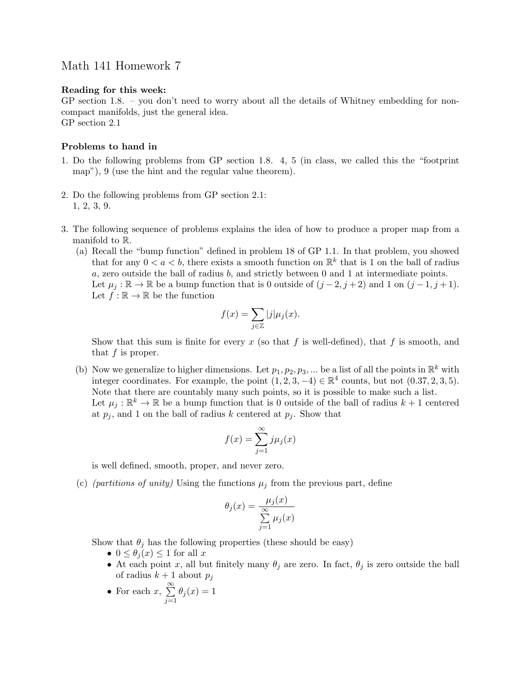## Math 141 Homework 7

## Reading for this week:

GP section 1.8. – you don't need to worry about all the details of Whitney embedding for noncompact manifolds, just the general idea. GP section 2.1

## Problems to hand in

- 1. Do the following problems from GP section 1.8. 4, 5 (in class, we called this the "footprint map"), 9 (use the hint and the regular value theorem).
- 2. Do the following problems from GP section 2.1: 1, 2, 3, 9.
- 3. The following sequence of problems explains the idea of how to produce a proper map from a manifold to R.
	- (a) Recall the "bump function" defined in problem 18 of GP 1.1. In that problem, you showed that for any  $0 < a < b$ , there exists a smooth function on  $\mathbb{R}^k$  that is 1 on the ball of radius a, zero outside the ball of radius  $b$ , and strictly between 0 and 1 at intermediate points. Let  $\mu_j : \mathbb{R} \to \mathbb{R}$  be a bump function that is 0 outside of  $(j-2, j+2)$  and 1 on  $(j-1, j+1)$ . Let  $f : \mathbb{R} \to \mathbb{R}$  be the function

$$
f(x) = \sum_{j \in \mathbb{Z}} |j| \mu_j(x).
$$

Show that this sum is finite for every x (so that f is well-defined), that f is smooth, and that  $f$  is proper.

(b) Now we generalize to higher dimensions. Let  $p_1, p_2, p_3, ...$  be a list of all the points in  $\mathbb{R}^k$  with integer coordinates. For example, the point  $(1, 2, 3, -4) \in \mathbb{R}^4$  counts, but not  $(0.37, 2, 3, 5)$ . Note that there are countably many such points, so it is possible to make such a list. Let  $\mu_j : \mathbb{R}^k \to \mathbb{R}$  be a bump function that is 0 outside of the ball of radius  $k+1$  centered at  $p_j$ , and 1 on the ball of radius k centered at  $p_j$ . Show that

$$
f(x) = \sum_{j=1}^{\infty} j\mu_j(x)
$$

is well defined, smooth, proper, and never zero.

(c) (*partitions of unity*) Using the functions  $\mu_j$  from the previous part, define

$$
\theta_j(x) = \frac{\mu_j(x)}{\sum_{j=1}^{\infty} \mu_j(x)}
$$

Show that  $\theta_j$  has the following properties (these should be easy)

- $0 \leq \theta_i(x) \leq 1$  for all x
- At each point x, all but finitely many  $\theta_j$  are zero. In fact,  $\theta_j$  is zero outside the ball of radius  $k + 1$  about  $p_i$
- For each  $x, \sum_{n=1}^{\infty}$  $j=1$  $\theta_j(x) = 1$